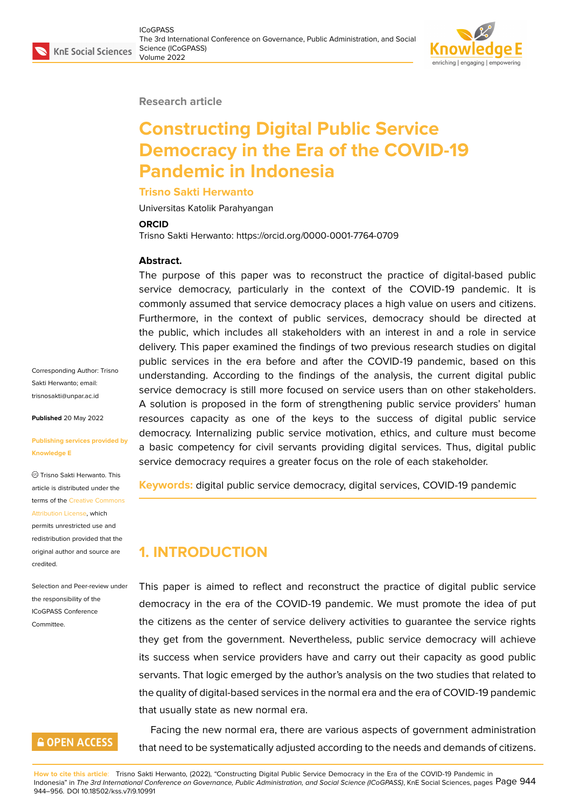### **Research article**

# **Constructing Digital Public Service Democracy in the Era of the COVID-19 Pandemic in Indonesia**

### **Trisno Sakti Herwanto**

Universitas Katolik Parahyangan

#### **ORCID**

Trisno Sakti Herwanto: https://orcid.org/0000-0001-7764-0709

### **Abstract.**

The purpose of this paper was to reconstruct the practice of digital-based public service democracy, particularly in the context of the COVID-19 pandemic. It is commonly assumed that service democracy places a high value on users and citizens. Furthermore, in the context of public services, democracy should be directed at the public, which includes all stakeholders with an interest in and a role in service delivery. This paper examined the findings of two previous research studies on digital public services in the era before and after the COVID-19 pandemic, based on this understanding. According to the findings of the analysis, the current digital public service democracy is still more focused on service users than on other stakeholders. A solution is proposed in the form of strengthening public service providers' human resources capacity as one of the keys to the success of digital public service democracy. Internalizing public service motivation, ethics, and culture must become a basic competency for civil servants providing digital services. Thus, digital public service democracy requires a greater focus on the role of each stakeholder.

**Keywords:** digital public service democracy, digital services, COVID-19 pandemic

# **1. INTRODUCTION**

This paper is aimed to reflect and reconstruct the practice of digital public service democracy in the era of the COVID-19 pandemic. We must promote the idea of put the citizens as the center of service delivery activities to guarantee the service rights they get from the government. Nevertheless, public service democracy will achieve its success when service providers have and carry out their capacity as good public servants. That logic emerged by the author's analysis on the two studies that related to the quality of digital-based services in the normal era and the era of COVID-19 pandemic that usually state as new normal era.

Facing the new normal era, there are various aspects of government administration that need to be systematically adjusted according to the needs and demands of citizens.

**How to cite this article**: Trisno Sakti Herwanto, (2022), "Constructing Digital Public Service Democracy in the Era of the COVID-19 Pandemic in Indonesia" in *The 3rd International Conference on Governance, Public Administration, and Social Science (ICoGPASS)*, KnE Social Sciences, pages Page 944 944–956. DOI 10.18502/kss.v7i9.10991

Corresponding Author: Trisno Sakti Herwanto; email: trisnosakti@unpar.ac.id

**Published** 20 May 2022

#### **[Publishing services pro](mailto:trisnosakti@unpar.ac.id )vided by Knowledge E**

Trisno Sakti Herwanto. This article is distributed under the terms of the Creative Commons Attribution License, which

permits unrestricted use and redistribution provided that the original auth[or and source are](https://creativecommons.org/licenses/by/4.0/) [credited.](https://creativecommons.org/licenses/by/4.0/)

Selection and Peer-review under the responsibility of the ICoGPASS Conference Committee.

# **GOPEN ACCESS**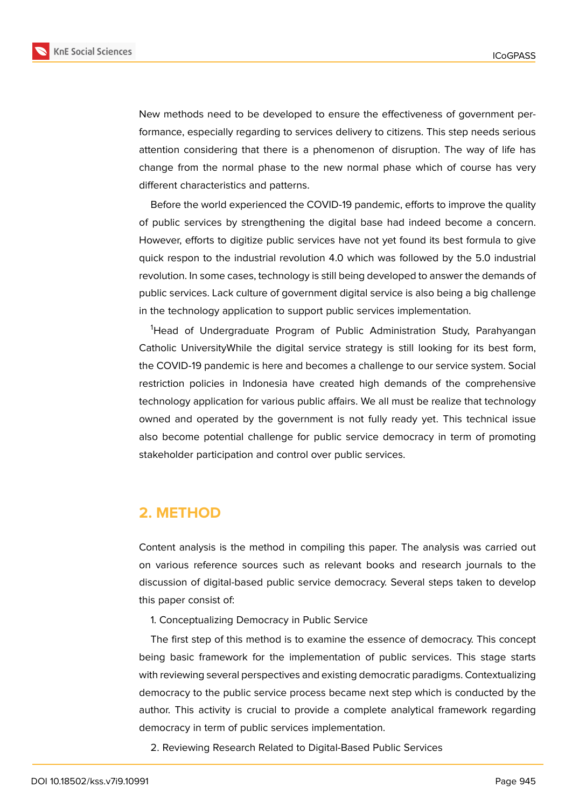

New methods need to be developed to ensure the effectiveness of government performance, especially regarding to services delivery to citizens. This step needs serious attention considering that there is a phenomenon of disruption. The way of life has change from the normal phase to the new normal phase which of course has very different characteristics and patterns.

Before the world experienced the COVID-19 pandemic, efforts to improve the quality of public services by strengthening the digital base had indeed become a concern. However, efforts to digitize public services have not yet found its best formula to give quick respon to the industrial revolution 4.0 which was followed by the 5.0 industrial revolution. In some cases, technology is still being developed to answer the demands of public services. Lack culture of government digital service is also being a big challenge in the technology application to support public services implementation.

<sup>1</sup>Head of Undergraduate Program of Public Administration Study, Parahyangan Catholic UniversityWhile the digital service strategy is still looking for its best form, the COVID-19 pandemic is here and becomes a challenge to our service system. Social restriction policies in Indonesia have created high demands of the comprehensive technology application for various public affairs. We all must be realize that technology owned and operated by the government is not fully ready yet. This technical issue also become potential challenge for public service democracy in term of promoting stakeholder participation and control over public services.

### **2. METHOD**

Content analysis is the method in compiling this paper. The analysis was carried out on various reference sources such as relevant books and research journals to the discussion of digital-based public service democracy. Several steps taken to develop this paper consist of:

1. Conceptualizing Democracy in Public Service

The first step of this method is to examine the essence of democracy. This concept being basic framework for the implementation of public services. This stage starts with reviewing several perspectives and existing democratic paradigms. Contextualizing democracy to the public service process became next step which is conducted by the author. This activity is crucial to provide a complete analytical framework regarding democracy in term of public services implementation.

2. Reviewing Research Related to Digital-Based Public Services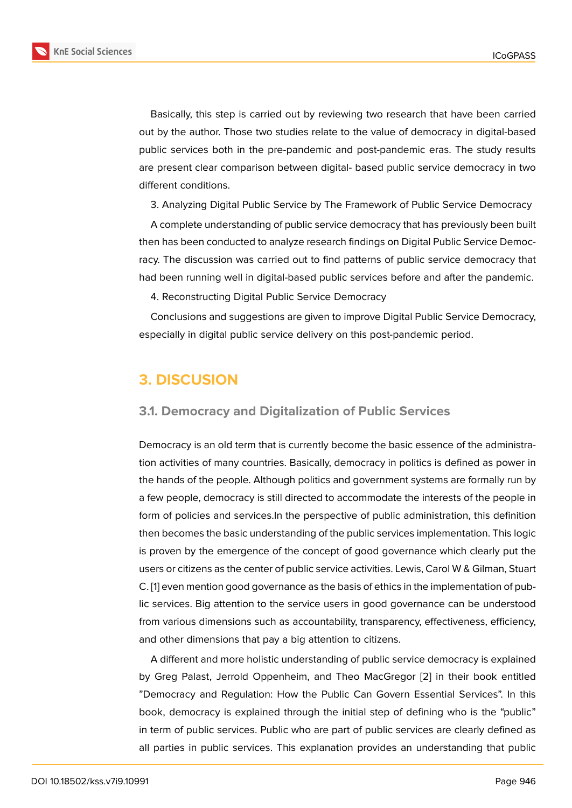Basically, this step is carried out by reviewing two research that have been carried out by the author. Those two studies relate to the value of democracy in digital-based public services both in the pre-pandemic and post-pandemic eras. The study results are present clear comparison between digital- based public service democracy in two different conditions.

3. Analyzing Digital Public Service by The Framework of Public Service Democracy

A complete understanding of public service democracy that has previously been built then has been conducted to analyze research findings on Digital Public Service Democracy. The discussion was carried out to find patterns of public service democracy that had been running well in digital-based public services before and after the pandemic.

4. Reconstructing Digital Public Service Democracy

Conclusions and suggestions are given to improve Digital Public Service Democracy, especially in digital public service delivery on this post-pandemic period.

# **3. DISCUSION**

### **3.1. Democracy and Digitalization of Public Services**

Democracy is an old term that is currently become the basic essence of the administration activities of many countries. Basically, democracy in politics is defined as power in the hands of the people. Although politics and government systems are formally run by a few people, democracy is still directed to accommodate the interests of the people in form of policies and services.In the perspective of public administration, this definition then becomes the basic understanding of the public services implementation. This logic is proven by the emergence of the concept of good governance which clearly put the users or citizens as the center of public service activities. Lewis, Carol W & Gilman, Stuart C. [1] even mention good governance as the basis of ethics in the implementation of public services. Big attention to the service users in good governance can be understood from various dimensions such as accountability, transparency, effectiveness, efficiency, an[d](#page-11-0) other dimensions that pay a big attention to citizens.

A different and more holistic understanding of public service democracy is explained by Greg Palast, Jerrold Oppenheim, and Theo MacGregor [2] in their book entitled "Democracy and Regulation: How the Public Can Govern Essential Services". In this book, democracy is explained through the initial step of defining who is the "public" in term of public services. Public who are part of public servi[ces](#page-12-0) are clearly defined as all parties in public services. This explanation provides an understanding that public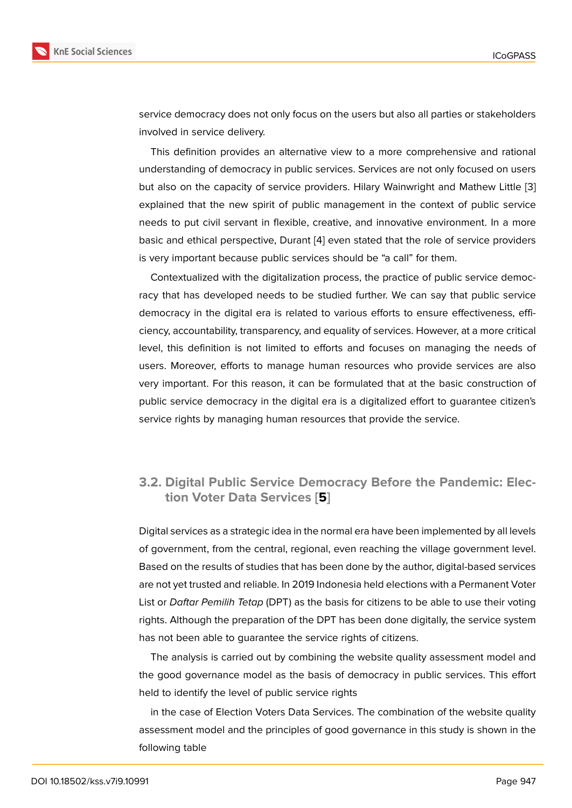service democracy does not only focus on the users but also all parties or stakeholders involved in service delivery.

This definition provides an alternative view to a more comprehensive and rational understanding of democracy in public services. Services are not only focused on users but also on the capacity of service providers. Hilary Wainwright and Mathew Little [3] explained that the new spirit of public management in the context of public service needs to put civil servant in flexible, creative, and innovative environment. In a more basic and ethical perspective, Durant [4] even stated that the role of service provide[rs](#page-12-1) is very important because public services should be "a call" for them.

Contextualized with the digitalization process, the practice of public service democracy that has developed needs to be [s](#page-12-2)tudied further. We can say that public service democracy in the digital era is related to various efforts to ensure effectiveness, efficiency, accountability, transparency, and equality of services. However, at a more critical level, this definition is not limited to efforts and focuses on managing the needs of users. Moreover, efforts to manage human resources who provide services are also very important. For this reason, it can be formulated that at the basic construction of public service democracy in the digital era is a digitalized effort to guarantee citizen's service rights by managing human resources that provide the service.

### **3.2. Digital Public Service Democracy Before the Pandemic: Election Voter Data Services [5]**

Digital services as a strategic idea in the normal era have been implemented by all levels of government, from the central, regio[nal](#page-12-3), even reaching the village government level. Based on the results of studies that has been done by the author, digital-based services are not yet trusted and reliable. In 2019 Indonesia held elections with a Permanent Voter List or *Daftar Pemilih Tetap* (DPT) as the basis for citizens to be able to use their voting rights. Although the preparation of the DPT has been done digitally, the service system has not been able to guarantee the service rights of citizens.

The analysis is carried out by combining the website quality assessment model and the good governance model as the basis of democracy in public services. This effort held to identify the level of public service rights

in the case of Election Voters Data Services. The combination of the website quality assessment model and the principles of good governance in this study is shown in the following table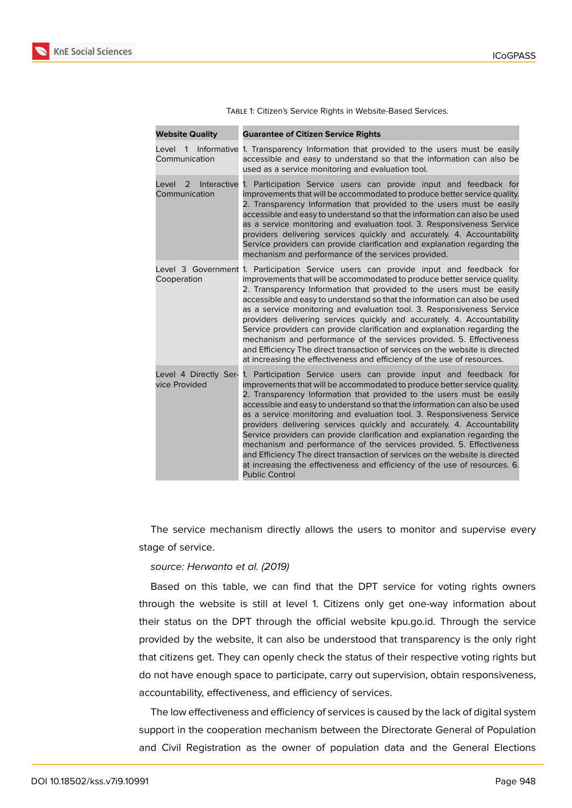

| <b>Website Quality</b>                  | <b>Guarantee of Citizen Service Rights</b>                                                                                                                                                                                                                                                                                                                                                                                                                                                                                                                                                                                                                                                                                                                                                             |
|-----------------------------------------|--------------------------------------------------------------------------------------------------------------------------------------------------------------------------------------------------------------------------------------------------------------------------------------------------------------------------------------------------------------------------------------------------------------------------------------------------------------------------------------------------------------------------------------------------------------------------------------------------------------------------------------------------------------------------------------------------------------------------------------------------------------------------------------------------------|
| Level 1<br>Communication                | Informative 1. Transparency Information that provided to the users must be easily<br>accessible and easy to understand so that the information can also be<br>used as a service monitoring and evaluation tool.                                                                                                                                                                                                                                                                                                                                                                                                                                                                                                                                                                                        |
| Interactive<br>Level 2<br>Communication | 1. Participation Service users can provide input and feedback for<br>improvements that will be accommodated to produce better service quality.<br>2. Transparency Information that provided to the users must be easily<br>accessible and easy to understand so that the information can also be used<br>as a service monitoring and evaluation tool. 3. Responsiveness Service<br>providers delivering services quickly and accurately. 4. Accountability<br>Service providers can provide clarification and explanation regarding the<br>mechanism and performance of the services provided.                                                                                                                                                                                                         |
| Cooperation                             | Level 3 Government 1. Participation Service users can provide input and feedback for<br>improvements that will be accommodated to produce better service quality.<br>2. Transparency Information that provided to the users must be easily<br>accessible and easy to understand so that the information can also be used<br>as a service monitoring and evaluation tool. 3. Responsiveness Service<br>providers delivering services quickly and accurately. 4. Accountability<br>Service providers can provide clarification and explanation regarding the<br>mechanism and performance of the services provided. 5. Effectiveness<br>and Efficiency The direct transaction of services on the website is directed<br>at increasing the effectiveness and efficiency of the use of resources.          |
| Level 4 Directly Ser-<br>vice Provided  | 1. Participation Service users can provide input and feedback for<br>improvements that will be accommodated to produce better service quality.<br>2. Transparency Information that provided to the users must be easily<br>accessible and easy to understand so that the information can also be used<br>as a service monitoring and evaluation tool. 3. Responsiveness Service<br>providers delivering services quickly and accurately. 4. Accountability<br>Service providers can provide clarification and explanation regarding the<br>mechanism and performance of the services provided. 5. Effectiveness<br>and Efficiency The direct transaction of services on the website is directed<br>at increasing the effectiveness and efficiency of the use of resources. 6.<br><b>Public Control</b> |

Table 1: Citizen's Service Rights in Website-Based Services.

The service mechanism directly allows the users to monitor and supervise every stage of service.

#### *source: Herwanto et al. (2019)*

Based on this table, we can find that the DPT service for voting rights owners through the website is still at level 1. Citizens only get one-way information about their status on the DPT through the official website kpu.go.id. Through the service provided by the website, it can also be understood that transparency is the only right that citizens get. They can openly check the status of their respective voting rights but do not have enough space to participate, carry out supervision, obtain responsiveness, accountability, effectiveness, and efficiency of services.

The low effectiveness and efficiency of services is caused by the lack of digital system support in the cooperation mechanism between the Directorate General of Population and Civil Registration as the owner of population data and the General Elections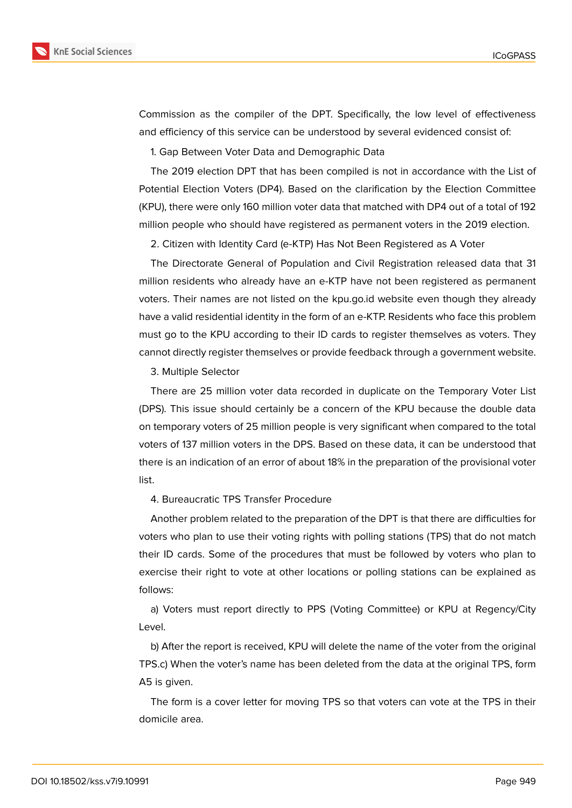



Commission as the compiler of the DPT. Specifically, the low level of effectiveness and efficiency of this service can be understood by several evidenced consist of:

1. Gap Between Voter Data and Demographic Data

The 2019 election DPT that has been compiled is not in accordance with the List of Potential Election Voters (DP4). Based on the clarification by the Election Committee (KPU), there were only 160 million voter data that matched with DP4 out of a total of 192 million people who should have registered as permanent voters in the 2019 election.

2. Citizen with Identity Card (e-KTP) Has Not Been Registered as A Voter

The Directorate General of Population and Civil Registration released data that 31 million residents who already have an e-KTP have not been registered as permanent voters. Their names are not listed on the kpu.go.id website even though they already have a valid residential identity in the form of an e-KTP. Residents who face this problem must go to the KPU according to their ID cards to register themselves as voters. They cannot directly register themselves or provide feedback through a government website.

3. Multiple Selector

There are 25 million voter data recorded in duplicate on the Temporary Voter List (DPS). This issue should certainly be a concern of the KPU because the double data on temporary voters of 25 million people is very significant when compared to the total voters of 137 million voters in the DPS. Based on these data, it can be understood that there is an indication of an error of about 18% in the preparation of the provisional voter list.

4. Bureaucratic TPS Transfer Procedure

Another problem related to the preparation of the DPT is that there are difficulties for voters who plan to use their voting rights with polling stations (TPS) that do not match their ID cards. Some of the procedures that must be followed by voters who plan to exercise their right to vote at other locations or polling stations can be explained as follows:

a) Voters must report directly to PPS (Voting Committee) or KPU at Regency/City Level.

b) After the report is received, KPU will delete the name of the voter from the original TPS.c) When the voter's name has been deleted from the data at the original TPS, form A5 is given.

The form is a cover letter for moving TPS so that voters can vote at the TPS in their domicile area.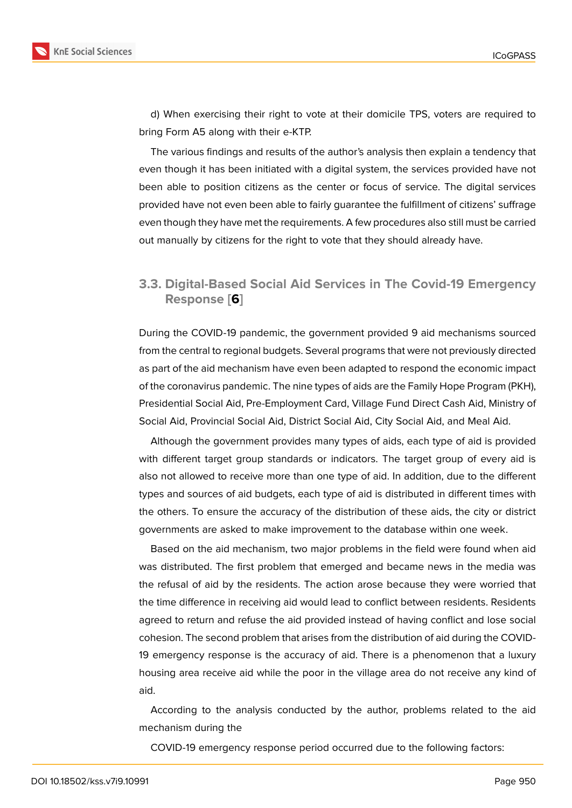d) When exercising their right to vote at their domicile TPS, voters are required to bring Form A5 along with their e-KTP.

The various findings and results of the author's analysis then explain a tendency that even though it has been initiated with a digital system, the services provided have not been able to position citizens as the center or focus of service. The digital services provided have not even been able to fairly guarantee the fulfillment of citizens' suffrage even though they have met the requirements. A few procedures also still must be carried out manually by citizens for the right to vote that they should already have.

### **3.3. Digital-Based Social Aid Services in The Covid-19 Emergency Response [6]**

During the COVID-19 pandemic, the government provided 9 aid mechanisms sourced from the central to r[egi](#page-12-4)onal budgets. Several programs that were not previously directed as part of the aid mechanism have even been adapted to respond the economic impact of the coronavirus pandemic. The nine types of aids are the Family Hope Program (PKH), Presidential Social Aid, Pre-Employment Card, Village Fund Direct Cash Aid, Ministry of Social Aid, Provincial Social Aid, District Social Aid, City Social Aid, and Meal Aid.

Although the government provides many types of aids, each type of aid is provided with different target group standards or indicators. The target group of every aid is also not allowed to receive more than one type of aid. In addition, due to the different types and sources of aid budgets, each type of aid is distributed in different times with the others. To ensure the accuracy of the distribution of these aids, the city or district governments are asked to make improvement to the database within one week.

Based on the aid mechanism, two major problems in the field were found when aid was distributed. The first problem that emerged and became news in the media was the refusal of aid by the residents. The action arose because they were worried that the time difference in receiving aid would lead to conflict between residents. Residents agreed to return and refuse the aid provided instead of having conflict and lose social cohesion. The second problem that arises from the distribution of aid during the COVID-19 emergency response is the accuracy of aid. There is a phenomenon that a luxury housing area receive aid while the poor in the village area do not receive any kind of aid.

According to the analysis conducted by the author, problems related to the aid mechanism during the

COVID-19 emergency response period occurred due to the following factors: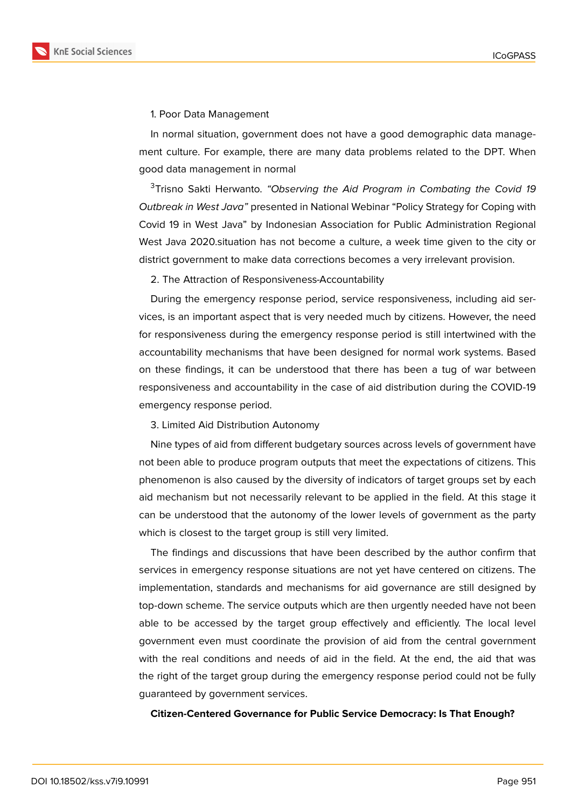

1. Poor Data Management

In normal situation, government does not have a good demographic data management culture. For example, there are many data problems related to the DPT. When good data management in normal

<sup>3</sup>Trisno Sakti Herwanto. *"Observing the Aid Program in Combating the Covid 19 Outbreak in West Java"* presented in National Webinar "Policy Strategy for Coping with Covid 19 in West Java" by Indonesian Association for Public Administration Regional West Java 2020.situation has not become a culture, a week time given to the city or district government to make data corrections becomes a very irrelevant provision.

2. The Attraction of Responsiveness-Accountability

During the emergency response period, service responsiveness, including aid services, is an important aspect that is very needed much by citizens. However, the need for responsiveness during the emergency response period is still intertwined with the accountability mechanisms that have been designed for normal work systems. Based on these findings, it can be understood that there has been a tug of war between responsiveness and accountability in the case of aid distribution during the COVID-19 emergency response period.

3. Limited Aid Distribution Autonomy

Nine types of aid from different budgetary sources across levels of government have not been able to produce program outputs that meet the expectations of citizens. This phenomenon is also caused by the diversity of indicators of target groups set by each aid mechanism but not necessarily relevant to be applied in the field. At this stage it can be understood that the autonomy of the lower levels of government as the party which is closest to the target group is still very limited.

The findings and discussions that have been described by the author confirm that services in emergency response situations are not yet have centered on citizens. The implementation, standards and mechanisms for aid governance are still designed by top-down scheme. The service outputs which are then urgently needed have not been able to be accessed by the target group effectively and efficiently. The local level government even must coordinate the provision of aid from the central government with the real conditions and needs of aid in the field. At the end, the aid that was the right of the target group during the emergency response period could not be fully guaranteed by government services.

#### **Citizen-Centered Governance for Public Service Democracy: Is That Enough?**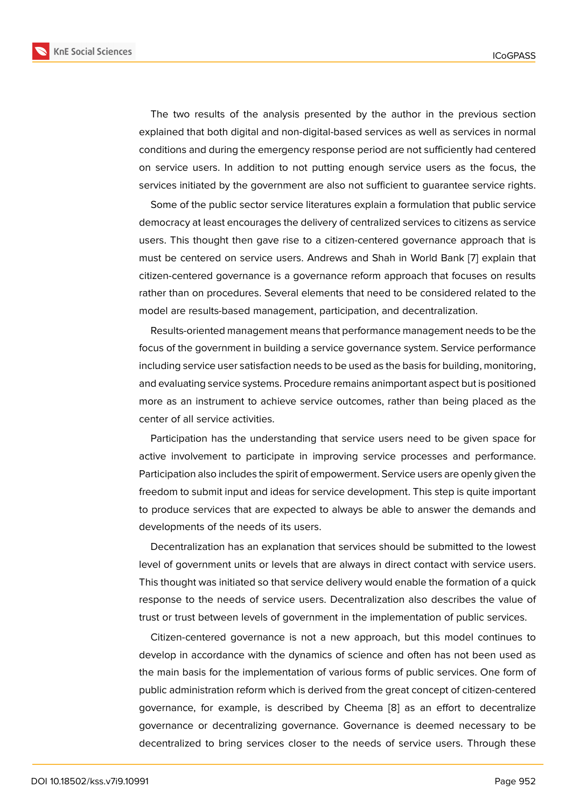The two results of the analysis presented by the author in the previous section explained that both digital and non-digital-based services as well as services in normal conditions and during the emergency response period are not sufficiently had centered on service users. In addition to not putting enough service users as the focus, the services initiated by the government are also not sufficient to guarantee service rights.

Some of the public sector service literatures explain a formulation that public service democracy at least encourages the delivery of centralized services to citizens as service users. This thought then gave rise to a citizen-centered governance approach that is must be centered on service users. Andrews and Shah in World Bank [7] explain that citizen-centered governance is a governance reform approach that focuses on results rather than on procedures. Several elements that need to be considered related to the model are results-based management, participation, and decentralizatio[n.](#page-12-5)

Results-oriented management means that performance management needs to be the focus of the government in building a service governance system. Service performance including service user satisfaction needs to be used as the basis for building, monitoring, and evaluating service systems. Procedure remains animportant aspect but is positioned more as an instrument to achieve service outcomes, rather than being placed as the center of all service activities.

Participation has the understanding that service users need to be given space for active involvement to participate in improving service processes and performance. Participation also includes the spirit of empowerment. Service users are openly given the freedom to submit input and ideas for service development. This step is quite important to produce services that are expected to always be able to answer the demands and developments of the needs of its users.

Decentralization has an explanation that services should be submitted to the lowest level of government units or levels that are always in direct contact with service users. This thought was initiated so that service delivery would enable the formation of a quick response to the needs of service users. Decentralization also describes the value of trust or trust between levels of government in the implementation of public services.

Citizen-centered governance is not a new approach, but this model continues to develop in accordance with the dynamics of science and often has not been used as the main basis for the implementation of various forms of public services. One form of public administration reform which is derived from the great concept of citizen-centered governance, for example, is described by Cheema [8] as an effort to decentralize governance or decentralizing governance. Governance is deemed necessary to be decentralized to bring services closer to the needs of service users. Through these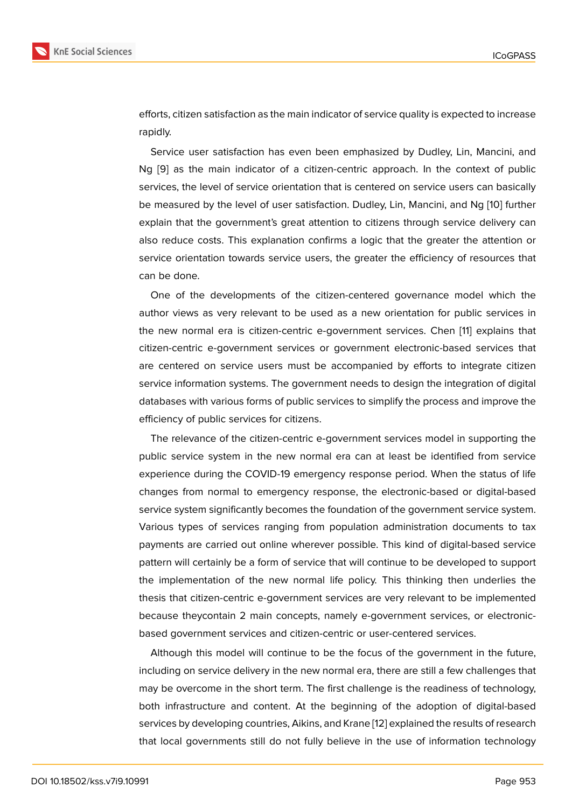efforts, citizen satisfaction as the main indicator of service quality is expected to increase rapidly.

Service user satisfaction has even been emphasized by Dudley, Lin, Mancini, and Ng [9] as the main indicator of a citizen-centric approach. In the context of public services, the level of service orientation that is centered on service users can basically be measured by the level of user satisfaction. Dudley, Lin, Mancini, and Ng [10] further expl[ai](#page-12-6)n that the government's great attention to citizens through service delivery can also reduce costs. This explanation confirms a logic that the greater the attention or service orientation towards service users, the greater the efficiency of res[ourc](#page-12-7)es that can be done.

One of the developments of the citizen-centered governance model which the author views as very relevant to be used as a new orientation for public services in the new normal era is citizen-centric e-government services. Chen [11] explains that citizen-centric e-government services or government electronic-based services that are centered on service users must be accompanied by efforts to integrate citizen service information systems. The government needs to design the inte[gr](#page-12-8)ation of digital databases with various forms of public services to simplify the process and improve the efficiency of public services for citizens.

The relevance of the citizen-centric e-government services model in supporting the public service system in the new normal era can at least be identified from service experience during the COVID-19 emergency response period. When the status of life changes from normal to emergency response, the electronic-based or digital-based service system significantly becomes the foundation of the government service system. Various types of services ranging from population administration documents to tax payments are carried out online wherever possible. This kind of digital-based service pattern will certainly be a form of service that will continue to be developed to support the implementation of the new normal life policy. This thinking then underlies the thesis that citizen-centric e-government services are very relevant to be implemented because theycontain 2 main concepts, namely e-government services, or electronicbased government services and citizen-centric or user-centered services.

Although this model will continue to be the focus of the government in the future, including on service delivery in the new normal era, there are still a few challenges that may be overcome in the short term. The first challenge is the readiness of technology, both infrastructure and content. At the beginning of the adoption of digital-based services by developing countries, Aikins, and Krane [12] explained the results of research that local governments still do not fully believe in the use of information technology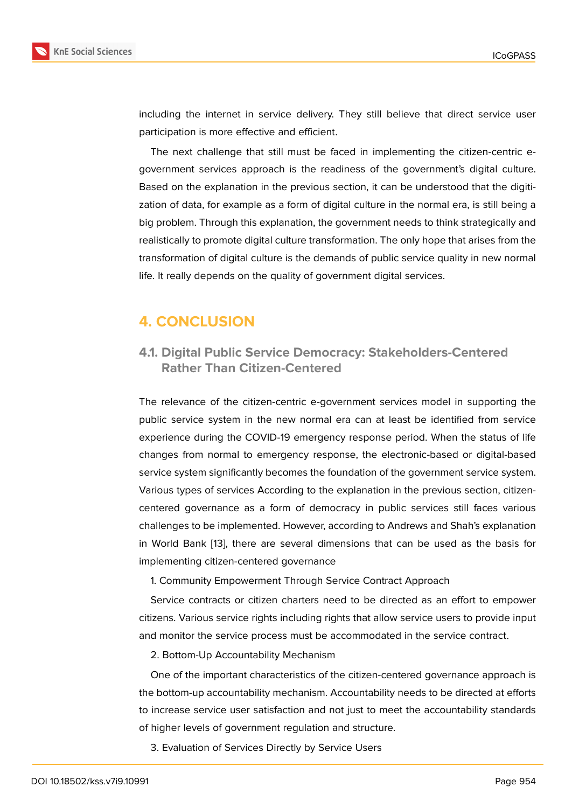including the internet in service delivery. They still believe that direct service user participation is more effective and efficient.

The next challenge that still must be faced in implementing the citizen-centric egovernment services approach is the readiness of the government's digital culture. Based on the explanation in the previous section, it can be understood that the digitization of data, for example as a form of digital culture in the normal era, is still being a big problem. Through this explanation, the government needs to think strategically and realistically to promote digital culture transformation. The only hope that arises from the transformation of digital culture is the demands of public service quality in new normal life. It really depends on the quality of government digital services.

# **4. CONCLUSION**

### **4.1. Digital Public Service Democracy: Stakeholders-Centered Rather Than Citizen-Centered**

The relevance of the citizen-centric e-government services model in supporting the public service system in the new normal era can at least be identified from service experience during the COVID-19 emergency response period. When the status of life changes from normal to emergency response, the electronic-based or digital-based service system significantly becomes the foundation of the government service system. Various types of services According to the explanation in the previous section, citizencentered governance as a form of democracy in public services still faces various challenges to be implemented. However, according to Andrews and Shah's explanation in World Bank [13], there are several dimensions that can be used as the basis for implementing citizen-centered governance

1. Community Empowerment Through Service Contract Approach

Service contr[act](#page-12-9)s or citizen charters need to be directed as an effort to empower citizens. Various service rights including rights that allow service users to provide input and monitor the service process must be accommodated in the service contract.

2. Bottom-Up Accountability Mechanism

One of the important characteristics of the citizen-centered governance approach is the bottom-up accountability mechanism. Accountability needs to be directed at efforts to increase service user satisfaction and not just to meet the accountability standards of higher levels of government regulation and structure.

3. Evaluation of Services Directly by Service Users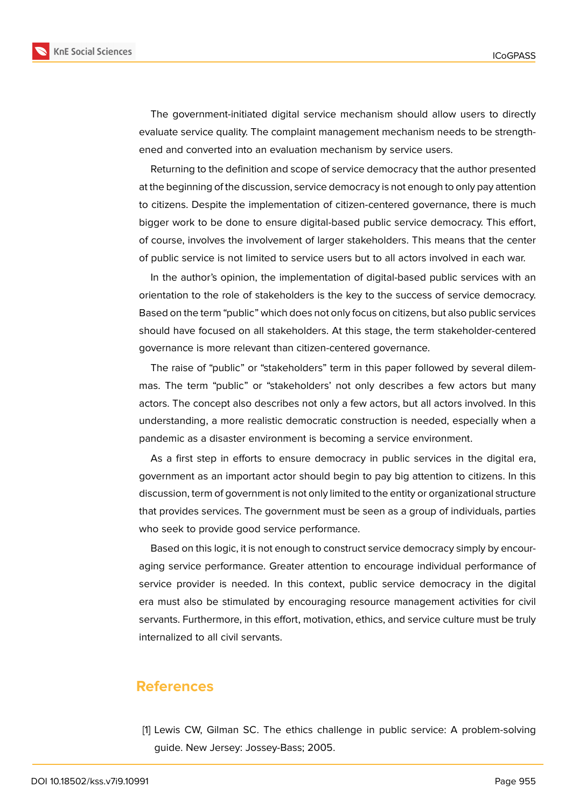

The government-initiated digital service mechanism should allow users to directly evaluate service quality. The complaint management mechanism needs to be strengthened and converted into an evaluation mechanism by service users.

Returning to the definition and scope of service democracy that the author presented at the beginning of the discussion, service democracy is not enough to only pay attention to citizens. Despite the implementation of citizen-centered governance, there is much bigger work to be done to ensure digital-based public service democracy. This effort, of course, involves the involvement of larger stakeholders. This means that the center of public service is not limited to service users but to all actors involved in each war.

In the author's opinion, the implementation of digital-based public services with an orientation to the role of stakeholders is the key to the success of service democracy. Based on the term "public" which does not only focus on citizens, but also public services should have focused on all stakeholders. At this stage, the term stakeholder-centered governance is more relevant than citizen-centered governance.

The raise of "public" or "stakeholders" term in this paper followed by several dilemmas. The term "public" or "stakeholders' not only describes a few actors but many actors. The concept also describes not only a few actors, but all actors involved. In this understanding, a more realistic democratic construction is needed, especially when a pandemic as a disaster environment is becoming a service environment.

As a first step in efforts to ensure democracy in public services in the digital era, government as an important actor should begin to pay big attention to citizens. In this discussion, term of government is not only limited to the entity or organizational structure that provides services. The government must be seen as a group of individuals, parties who seek to provide good service performance.

Based on this logic, it is not enough to construct service democracy simply by encouraging service performance. Greater attention to encourage individual performance of service provider is needed. In this context, public service democracy in the digital era must also be stimulated by encouraging resource management activities for civil servants. Furthermore, in this effort, motivation, ethics, and service culture must be truly internalized to all civil servants.

### **References**

<span id="page-11-0"></span>[1] Lewis CW, Gilman SC. The ethics challenge in public service: A problem-solving guide. New Jersey: Jossey-Bass; 2005.